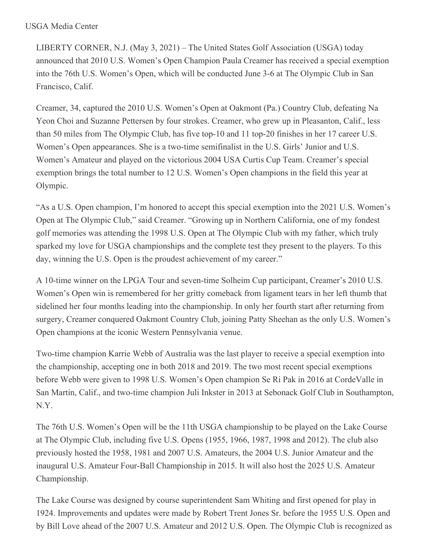LIBERTY CORNER, N.J. (May 3, 2021) – The United States Golf Association (USGA) today announced that 2010 U.S. Women's Open Champion Paula Creamer has received a special exemption into the 76th U.S. Women's Open, which will be conducted June 3-6 at The Olympic Club in San Francisco, Calif.

Creamer, 34, captured the 2010 U.S. Women's Open at Oakmont (Pa.) Country Club, defeating Na Yeon Choi and Suzanne Pettersen by four strokes. Creamer, who grew up in Pleasanton, Calif., less than 50 miles from The Olympic Club, has five top-10 and 11 top-20 finishes in her 17 career U.S. Women's Open appearances. She is a two-time semifinalist in the U.S. Girls' Junior and U.S. Women's Amateur and played on the victorious 2004 USA Curtis Cup Team. Creamer's special exemption brings the total number to 12 U.S. Women's Open champions in the field this year at Olympic.

"As a U.S. Open champion, I'm honored to accept this special exemption into the 2021 U.S. Women's Open at The Olympic Club," said Creamer. "Growing up in Northern California, one of my fondest golf memories was attending the 1998 U.S. Open at The Olympic Club with my father, which truly sparked my love for USGA championships and the complete test they present to the players. To this day, winning the U.S. Open is the proudest achievement of my career."

A 10-time winner on the LPGA Tour and seven-time Solheim Cup participant, Creamer's 2010 U.S. Women's Open win is remembered for her gritty comeback from ligament tears in her left thumb that sidelined her four months leading into the championship. In only her fourth start after returning from surgery, Creamer conquered Oakmont Country Club, joining Patty Sheehan as the only U.S. Women's Open champions at the iconic Western Pennsylvania venue.

Two-time champion Karrie Webb of Australia was the last player to receive a special exemption into the championship, accepting one in both 2018 and 2019. The two most recent special exemptions before Webb were given to 1998 U.S. Women's Open champion Se Ri Pak in 2016 at CordeValle in San Martin, Calif., and two-time champion Juli Inkster in 2013 at Sebonack Golf Club in Southampton, N.Y.

The 76th U.S. Women's Open will be the 11th USGA championship to be played on the Lake Course at The Olympic Club, including five U.S. Opens (1955, 1966, 1987, 1998 and 2012). The club also previously hosted the 1958, 1981 and 2007 U.S. Amateurs, the 2004 U.S. Junior Amateur and the inaugural U.S. Amateur Four-Ball Championship in 2015. It will also host the 2025 U.S. Amateur Championship.

The Lake Course was designed by course superintendent Sam Whiting and first opened for play in 1924. Improvements and updates were made by Robert Trent Jones Sr. before the 1955 U.S. Open and by Bill Love ahead of the 2007 U.S. Amateur and 2012 U.S. Open. The Olympic Club is recognized as